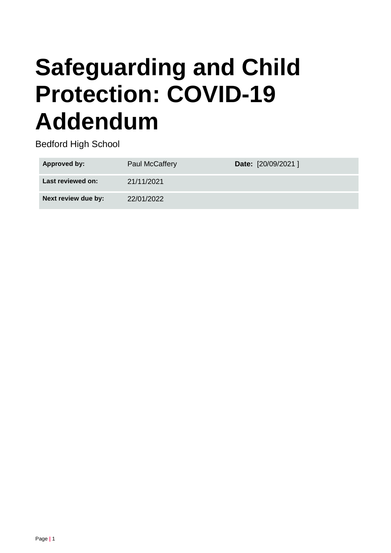# **Safeguarding and Child Protection: COVID-19 Addendum**

Bedford High School

| Approved by:        | <b>Paul McCaffery</b> | Date: [20/09/2021] |
|---------------------|-----------------------|--------------------|
| Last reviewed on:   | 21/11/2021            |                    |
| Next review due by: | 22/01/2022            |                    |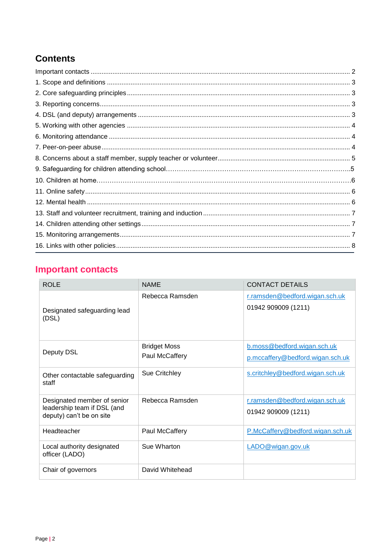# **Contents**

# <span id="page-1-0"></span>**Important contacts**

| <b>ROLE</b>                                                                            | <b>NAME</b>                           | <b>CONTACT DETAILS</b>                                          |
|----------------------------------------------------------------------------------------|---------------------------------------|-----------------------------------------------------------------|
| Designated safeguarding lead<br>(DSL)                                                  | Rebecca Ramsden                       | r.ramsden@bedford.wigan.sch.uk<br>01942 909009 (1211)           |
| Deputy DSL                                                                             | <b>Bridget Moss</b><br>Paul McCaffery | b.moss@bedford.wigan.sch.uk<br>p.mccaffery@bedford.wigan.sch.uk |
| Other contactable safeguarding<br>staff                                                | Sue Critchley                         | s.critchley@bedford.wigan.sch.uk                                |
| Designated member of senior<br>leadership team if DSL (and<br>deputy) can't be on site | Rebecca Ramsden                       | r.ramsden@bedford.wigan.sch.uk<br>01942 909009 (1211)           |
| Headteacher                                                                            | Paul McCaffery                        | P.McCaffery@bedford.wigan.sch.uk                                |
| Local authority designated<br>officer (LADO)                                           | Sue Wharton                           | LADO@wigan.gov.uk                                               |
| Chair of governors                                                                     | David Whitehead                       |                                                                 |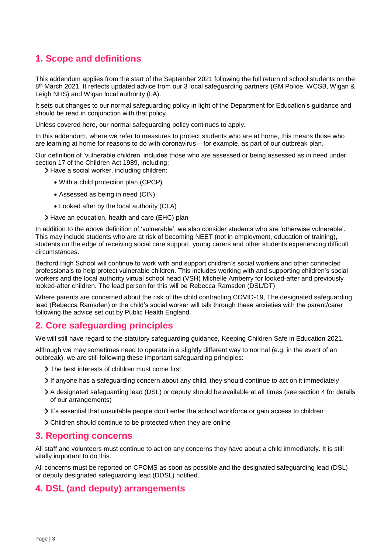## <span id="page-2-0"></span>**1. Scope and definitions**

This addendum applies from the start of the September 2021 following the full return of school students on the 8 th March 2021. It reflects updated advice from our 3 local safeguarding partners (GM Police, WCSB, Wigan & Leigh NHS) and Wigan local authority (LA).

It sets out changes to our normal safeguarding policy in light of the Department for Education's guidance and should be read in conjunction with that policy.

Unless covered here, our normal safeguarding policy continues to apply.

In this addendum, where we refer to measures to protect students who are at home, this means those who are learning at home for reasons to do with coronavirus – for example, as part of our outbreak plan.

Our definition of 'vulnerable children' includes those who are assessed or being assessed as in need under section 17 of the Children Act 1989, including:

> Have a social worker, including children:

- With a child protection plan (CPCP)
- Assessed as being in need (CIN)
- Looked after by the local authority (CLA)
- Have an education, health and care (EHC) plan

In addition to the above definition of 'vulnerable', we also consider students who are 'otherwise vulnerable'. This may include students who are at risk of becoming NEET (not in employment, education or training), students on the edge of receiving social care support, young carers and other students experiencing difficult circumstances.

Bedford High School will continue to work with and support children's social workers and other connected professionals to help protect vulnerable children. This includes working with and supporting children's social workers and the local authority virtual school head (VSH) Michelle Amberry for looked-after and previously looked-after children. The lead person for this will be Rebecca Ramsden (DSL/DT)

Where parents are concerned about the risk of the child contracting COVID-19, The designated safeguarding lead (Rebecca Ramsden) or the child's social worker will talk through these anxieties with the parent/carer following the advice set out by Public Health England.

## <span id="page-2-1"></span>**2. Core safeguarding principles**

We will still have regard to the statutory safeguarding guidance, Keeping Children Safe in Education 2021.

Although we may sometimes need to operate in a slightly different way to normal (e.g. in the event of an outbreak), we are still following these important safeguarding principles:

- The best interests of children must come first
- If anyone has a safeguarding concern about any child, they should continue to act on it immediately
- A designated safeguarding lead (DSL) or deputy should be available at all times (see section 4 for details of our arrangements)
- It's essential that unsuitable people don't enter the school workforce or gain access to children
- Children should continue to be protected when they are online

#### <span id="page-2-2"></span>**3. Reporting concerns**

All staff and volunteers must continue to act on any concerns they have about a child immediately. It is still vitally important to do this.

All concerns must be reported on CPOMS as soon as possible and the designated safeguarding lead (DSL) or deputy designated safeguarding lead (DDSL) notified.

## <span id="page-2-3"></span>**4. DSL (and deputy) arrangements**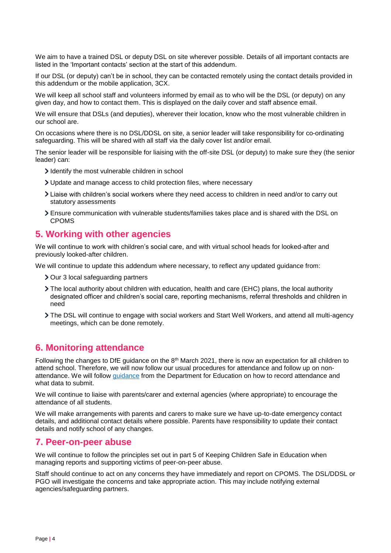We aim to have a trained DSL or deputy DSL on site wherever possible. Details of all important contacts are listed in the 'Important contacts' section at the start of this addendum.

If our DSL (or deputy) can't be in school, they can be contacted remotely using the contact details provided in this addendum or the mobile application, 3CX.

We will keep all school staff and volunteers informed by email as to who will be the DSL (or deputy) on any given day, and how to contact them. This is displayed on the daily cover and staff absence email.

We will ensure that DSLs (and deputies), wherever their location, know who the most vulnerable children in our school are.

On occasions where there is no DSL/DDSL on site, a senior leader will take responsibility for co-ordinating safeguarding. This will be shared with all staff via the daily cover list and/or email.

The senior leader will be responsible for liaising with the off-site DSL (or deputy) to make sure they (the senior leader) can:

- I dentify the most vulnerable children in school
- Update and manage access to child protection files, where necessary
- Liaise with children's social workers where they need access to children in need and/or to carry out statutory assessments
- Ensure communication with vulnerable students/families takes place and is shared with the DSL on CPOMS

#### <span id="page-3-0"></span>**5. Working with other agencies**

We will continue to work with children's social care, and with virtual school heads for looked-after and previously looked-after children.

We will continue to update this addendum where necessary, to reflect any updated guidance from:

- > Our 3 local safeguarding partners
- The local authority about children with education, health and care (EHC) plans, the local authority designated officer and children's social care, reporting mechanisms, referral thresholds and children in need
- The DSL will continue to engage with social workers and Start Well Workers, and attend all multi-agency meetings, which can be done remotely.

#### <span id="page-3-1"></span>**6. Monitoring attendance**

Following the changes to DfE guidance on the  $8<sup>th</sup>$  March 2021, there is now an expectation for all children to attend school. Therefore, we will now follow our usual procedures for attendance and follow up on nonattendance. We will follow [guidance](https://www.gov.uk/government/publications/school-attendance) from the Department for Education on how to record attendance and what data to submit.

We will continue to liaise with parents/carer and external agencies (where appropriate) to encourage the attendance of all students.

We will make arrangements with parents and carers to make sure we have up-to-date emergency contact details, and additional contact details where possible. Parents have responsibility to update their contact details and notify school of any changes.

#### <span id="page-3-2"></span>**7. Peer-on-peer abuse**

We will continue to follow the principles set out in part 5 of Keeping Children Safe in Education when managing reports and supporting victims of peer-on-peer abuse.

Staff should continue to act on any concerns they have immediately and report on CPOMS. The DSL/DDSL or PGO will investigate the concerns and take appropriate action. This may include notifying external agencies/safeguarding partners.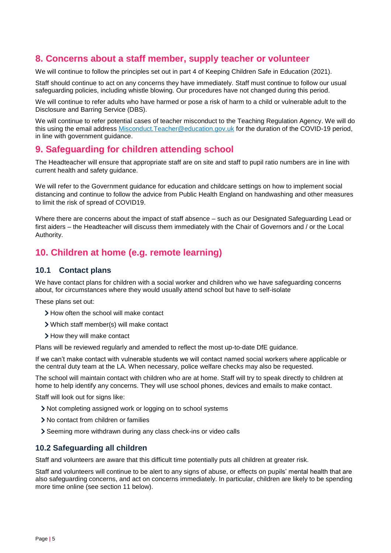## <span id="page-4-0"></span>**8. Concerns about a staff member, supply teacher or volunteer**

We will continue to follow the principles set out in part 4 of Keeping Children Safe in Education (2021).

Staff should continue to act on any concerns they have immediately. Staff must continue to follow our usual safeguarding policies, including whistle blowing. Our procedures have not changed during this period.

We will continue to refer adults who have harmed or pose a risk of harm to a child or vulnerable adult to the Disclosure and Barring Service (DBS).

We will continue to refer potential cases of teacher misconduct to the Teaching Regulation Agency. We will do this using the email address [Misconduct.Teacher@education.gov.uk](mailto:Misconduct.Teacher@education.gov.uk) for the duration of the COVID-19 period, in line with government guidance.

## **9. Safeguarding for children attending school**

The Headteacher will ensure that appropriate staff are on site and staff to pupil ratio numbers are in line with current health and safety guidance.

We will refer to the Government guidance for education and childcare settings on how to implement social distancing and continue to follow the advice from Public Health England on handwashing and other measures to limit the risk of spread of COVID19.

Where there are concerns about the impact of staff absence – such as our Designated Safeguarding Lead or first aiders – the Headteacher will discuss them immediately with the Chair of Governors and / or the Local Authority.

## **10. Children at home (e.g. remote learning)**

#### **10.1 Contact plans**

We have contact plans for children with a social worker and children who we have safeguarding concerns about, for circumstances where they would usually attend school but have to self-isolate

These plans set out:

- > How often the school will make contact
- Which staff member(s) will make contact
- > How they will make contact

Plans will be reviewed regularly and amended to reflect the most up-to-date DfE guidance.

If we can't make contact with vulnerable students we will contact named social workers where applicable or the central duty team at the LA. When necessary, police welfare checks may also be requested.

The school will maintain contact with children who are at home. Staff will try to speak directly to children at home to help identify any concerns. They will use school phones, devices and emails to make contact.

Staff will look out for signs like:

- Not completing assigned work or logging on to school systems
- No contact from children or families
- Seeming more withdrawn during any class check-ins or video calls

#### **10.2 Safeguarding all children**

Staff and volunteers are aware that this difficult time potentially puts all children at greater risk.

Staff and volunteers will continue to be alert to any signs of abuse, or effects on pupils' mental health that are also safeguarding concerns, and act on concerns immediately. In particular, children are likely to be spending more time online (see section 11 below).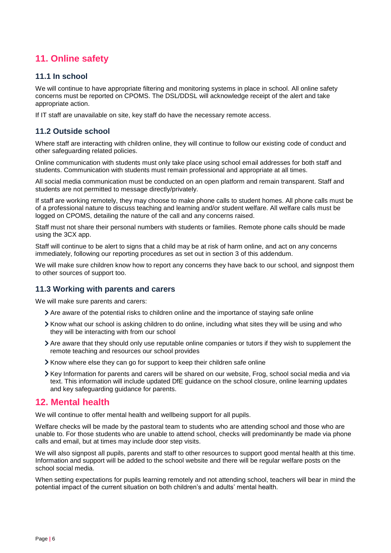## <span id="page-5-0"></span>**11. Online safety**

#### **11.1 In school**

We will continue to have appropriate filtering and monitoring systems in place in school. All online safety concerns must be reported on CPOMS. The DSL/DDSL will acknowledge receipt of the alert and take appropriate action.

If IT staff are unavailable on site, key staff do have the necessary remote access.

#### **11.2 Outside school**

Where staff are interacting with children online, they will continue to follow our existing code of conduct and other safeguarding related policies.

Online communication with students must only take place using school email addresses for both staff and students. Communication with students must remain professional and appropriate at all times.

All social media communication must be conducted on an open platform and remain transparent. Staff and students are not permitted to message directly/privately.

If staff are working remotely, they may choose to make phone calls to student homes. All phone calls must be of a professional nature to discuss teaching and learning and/or student welfare. All welfare calls must be logged on CPOMS, detailing the nature of the call and any concerns raised.

Staff must not share their personal numbers with students or families. Remote phone calls should be made using the 3CX app.

Staff will continue to be alert to signs that a child may be at risk of harm online, and act on any concerns immediately, following our reporting procedures as set out in section 3 of this addendum.

We will make sure children know how to report any concerns they have back to our school, and signpost them to other sources of support too.

#### **11.3 Working with parents and carers**

We will make sure parents and carers:

- Are aware of the potential risks to children online and the importance of staying safe online
- Know what our school is asking children to do online, including what sites they will be using and who they will be interacting with from our school
- Are aware that they should only use reputable online companies or tutors if they wish to supplement the remote teaching and resources our school provides
- Know where else they can go for support to keep their children safe online
- <span id="page-5-1"></span>Xey Information for parents and carers will be shared on our website, Frog, school social media and via text. This information will include updated DfE guidance on the school closure, online learning updates and key safeguarding guidance for parents.

#### **12. Mental health**

We will continue to offer mental health and wellbeing support for all pupils.

Welfare checks will be made by the pastoral team to students who are attending school and those who are unable to. For those students who are unable to attend school, checks will predominantly be made via phone calls and email, but at times may include door step visits.

We will also signpost all pupils, parents and staff to other resources to support good mental health at this time. Information and support will be added to the school website and there will be regular welfare posts on the school social media.

When setting expectations for pupils learning remotely and not attending school, teachers will bear in mind the potential impact of the current situation on both children's and adults' mental health.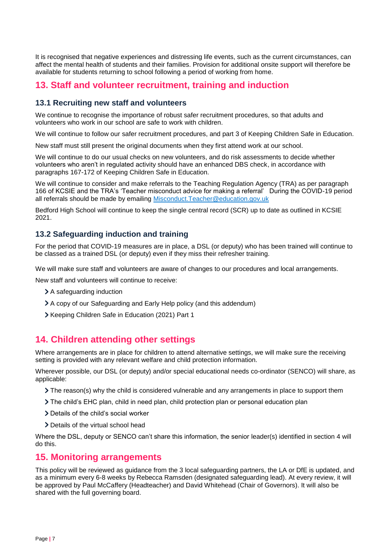It is recognised that negative experiences and distressing life events, such as the current circumstances, can affect the mental health of students and their families. Provision for additional onsite support will therefore be available for students returning to school following a period of working from home.

## <span id="page-6-0"></span>**13. Staff and volunteer recruitment, training and induction**

#### **13.1 Recruiting new staff and volunteers**

We continue to recognise the importance of robust safer recruitment procedures, so that adults and volunteers who work in our school are safe to work with children.

We will continue to follow our safer recruitment procedures, and part 3 of Keeping Children Safe in Education.

New staff must still present the original documents when they first attend work at our school.

We will continue to do our usual checks on new volunteers, and do risk assessments to decide whether volunteers who aren't in regulated activity should have an enhanced DBS check, in accordance with paragraphs 167-172 of Keeping Children Safe in Education.

We will continue to consider and make referrals to the Teaching Regulation Agency (TRA) as per paragraph 166 of KCSIE and the TRA's 'Teacher misconduct advice for making a referral' During the COVID-19 period all referrals should be made by emailing [Misconduct.Teacher@education.gov.uk](mailto:Misconduct.Teacher@education.gov.uk)

Bedford High School will continue to keep the single central record (SCR) up to date as outlined in KCSIE 2021.

#### **13.2 Safeguarding induction and training**

For the period that COVID-19 measures are in place, a DSL (or deputy) who has been trained will continue to be classed as a trained DSL (or deputy) even if they miss their refresher training.

We will make sure staff and volunteers are aware of changes to our procedures and local arrangements.

New staff and volunteers will continue to receive:

- > A safequarding induction
- A copy of our Safeguarding and Early Help policy (and this addendum)
- Xeeping Children Safe in Education (2021) Part 1

## <span id="page-6-1"></span>**14. Children attending other settings**

Where arrangements are in place for children to attend alternative settings, we will make sure the receiving setting is provided with any relevant welfare and child protection information.

Wherever possible, our DSL (or deputy) and/or special educational needs co-ordinator (SENCO) will share, as applicable:

- $\sum$  The reason(s) why the child is considered vulnerable and any arrangements in place to support them
- The child's EHC plan, child in need plan, child protection plan or personal education plan
- Details of the child's social worker
- > Details of the virtual school head

Where the DSL, deputy or SENCO can't share this information, the senior leader(s) identified in section 4 will do this.

## <span id="page-6-2"></span>**15. Monitoring arrangements**

This policy will be reviewed as guidance from the 3 local safeguarding partners, the LA or DfE is updated, and as a minimum every 6-8 weeks by Rebecca Ramsden (designated safeguarding lead). At every review, it will be approved by Paul McCaffery (Headteacher) and David Whitehead (Chair of Governors). It will also be shared with the full governing board.